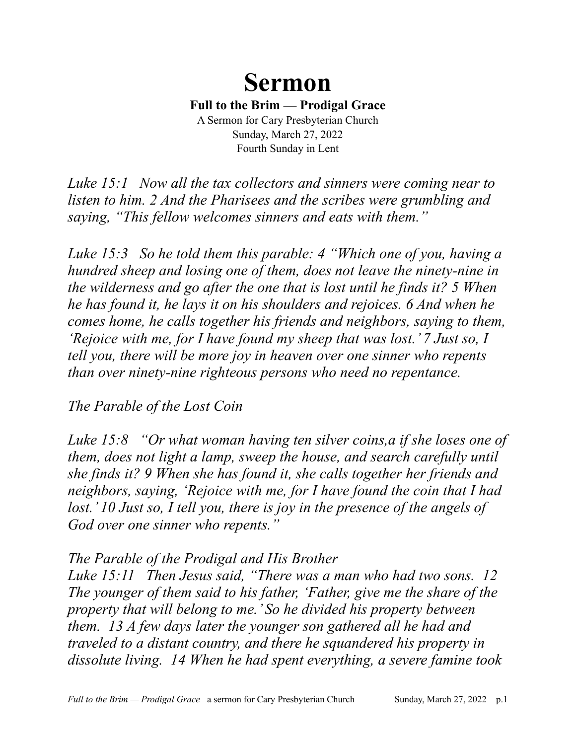# **Sermon**

**Full to the Brim — Prodigal Grace**

A Sermon for Cary Presbyterian Church Sunday, March 27, 2022 Fourth Sunday in Lent

*Luke 15:1 Now all the tax collectors and sinners were coming near to listen to him. 2 And the Pharisees and the scribes were grumbling and saying, "This fellow welcomes sinners and eats with them."*

*Luke 15:3 So he told them this parable: 4 "Which one of you, having a hundred sheep and losing one of them, does not leave the ninety-nine in the wilderness and go after the one that is lost until he finds it? 5 When he has found it, he lays it on his shoulders and rejoices. 6 And when he comes home, he calls together his friends and neighbors, saying to them, 'Rejoice with me, for I have found my sheep that was lost.' 7 Just so, I tell you, there will be more joy in heaven over one sinner who repents than over ninety-nine righteous persons who need no repentance.*

#### *The Parable of the Lost Coin*

*Luke 15:8 "Or what woman having ten silver coins,a if she loses one of them, does not light a lamp, sweep the house, and search carefully until she finds it? 9 When she has found it, she calls together her friends and neighbors, saying, 'Rejoice with me, for I have found the coin that I had*  lost.' 10 Just so, I tell you, there is joy in the presence of the angels of *God over one sinner who repents."*

#### *The Parable of the Prodigal and His Brother*

*Luke 15:11 Then Jesus said, "There was a man who had two sons. 12 The younger of them said to his father, 'Father, give me the share of the property that will belong to me.' So he divided his property between them. 13 A few days later the younger son gathered all he had and traveled to a distant country, and there he squandered his property in dissolute living. 14 When he had spent everything, a severe famine took*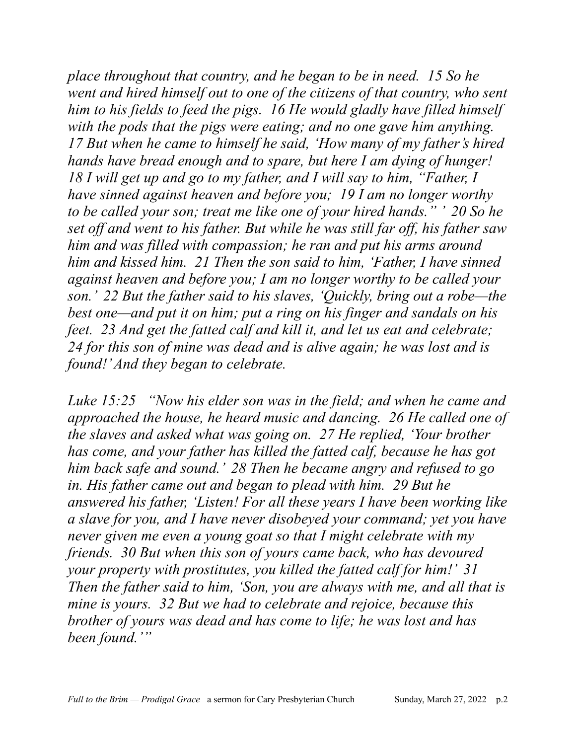*place throughout that country, and he began to be in need. 15 So he went and hired himself out to one of the citizens of that country, who sent him to his fields to feed the pigs. 16 He would gladly have filled himself with the pods that the pigs were eating; and no one gave him anything. 17 But when he came to himself he said, 'How many of my father's hired hands have bread enough and to spare, but here I am dying of hunger! 18 I will get up and go to my father, and I will say to him, "Father, I have sinned against heaven and before you; 19 I am no longer worthy to be called your son; treat me like one of your hired hands." ' 20 So he set off and went to his father. But while he was still far off, his father saw him and was filled with compassion; he ran and put his arms around him and kissed him. 21 Then the son said to him, 'Father, I have sinned against heaven and before you; I am no longer worthy to be called your son.' 22 But the father said to his slaves, 'Quickly, bring out a robe—the best one—and put it on him; put a ring on his finger and sandals on his feet. 23 And get the fatted calf and kill it, and let us eat and celebrate; 24 for this son of mine was dead and is alive again; he was lost and is found!' And they began to celebrate.* 

*Luke 15:25 "Now his elder son was in the field; and when he came and approached the house, he heard music and dancing. 26 He called one of the slaves and asked what was going on. 27 He replied, 'Your brother has come, and your father has killed the fatted calf, because he has got him back safe and sound.' 28 Then he became angry and refused to go in. His father came out and began to plead with him. 29 But he answered his father, 'Listen! For all these years I have been working like a slave for you, and I have never disobeyed your command; yet you have never given me even a young goat so that I might celebrate with my friends. 30 But when this son of yours came back, who has devoured your property with prostitutes, you killed the fatted calf for him!' 31 Then the father said to him, 'Son, you are always with me, and all that is mine is yours. 32 But we had to celebrate and rejoice, because this brother of yours was dead and has come to life; he was lost and has been found.'"*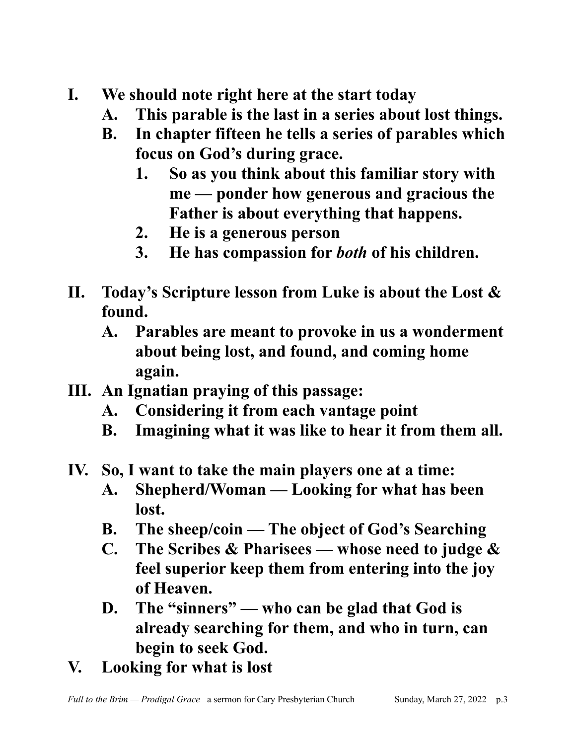- **I. We should note right here at the start today**
	- **A. This parable is the last in a series about lost things.**
	- **B. In chapter fifteen he tells a series of parables which focus on God's during grace.**
		- **1. So as you think about this familiar story with me — ponder how generous and gracious the Father is about everything that happens.**
		- **2. He is a generous person**
		- **3. He has compassion for** *both* **of his children.**
- **II. Today's Scripture lesson from Luke is about the Lost & found.**
	- **A. Parables are meant to provoke in us a wonderment about being lost, and found, and coming home again.**
- **III. An Ignatian praying of this passage:**
	- **A. Considering it from each vantage point**
	- **B. Imagining what it was like to hear it from them all.**
- **IV. So, I want to take the main players one at a time:**
	- **A. Shepherd/Woman Looking for what has been lost.**
	- **B. The sheep/coin The object of God's Searching**
	- **C. The Scribes & Pharisees whose need to judge & feel superior keep them from entering into the joy of Heaven.**
	- **D. The "sinners" who can be glad that God is already searching for them, and who in turn, can begin to seek God.**
- **V. Looking for what is lost**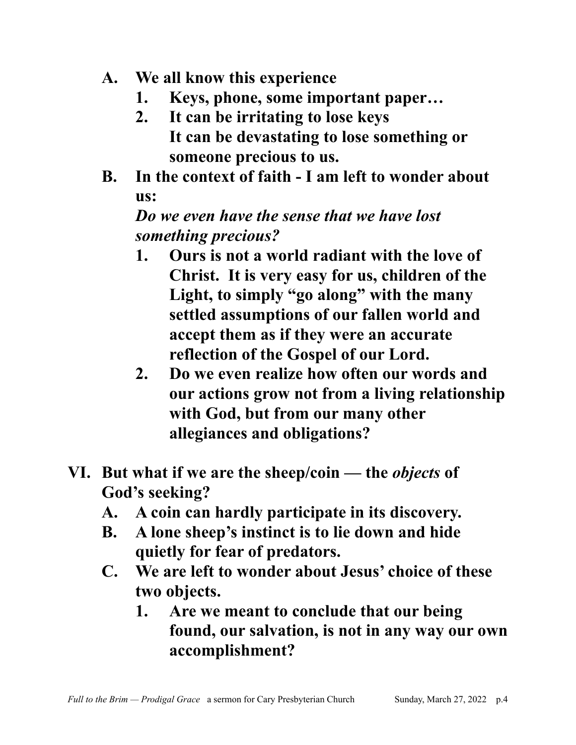- **A. We all know this experience**
	- **1. Keys, phone, some important paper…**
	- **2. It can be irritating to lose keys It can be devastating to lose something or someone precious to us.**
- **B. In the context of faith I am left to wonder about us:**

### *Do we even have the sense that we have lost something precious?*

- **1. Ours is not a world radiant with the love of Christ. It is very easy for us, children of the Light, to simply "go along" with the many settled assumptions of our fallen world and accept them as if they were an accurate reflection of the Gospel of our Lord.**
- **2. Do we even realize how often our words and our actions grow not from a living relationship with God, but from our many other allegiances and obligations?**
- **VI. But what if we are the sheep/coin the** *objects* **of God's seeking?**
	- **A. A coin can hardly participate in its discovery.**
	- **B. A lone sheep's instinct is to lie down and hide quietly for fear of predators.**
	- **C. We are left to wonder about Jesus' choice of these two objects.** 
		- **1. Are we meant to conclude that our being found, our salvation, is not in any way our own accomplishment?**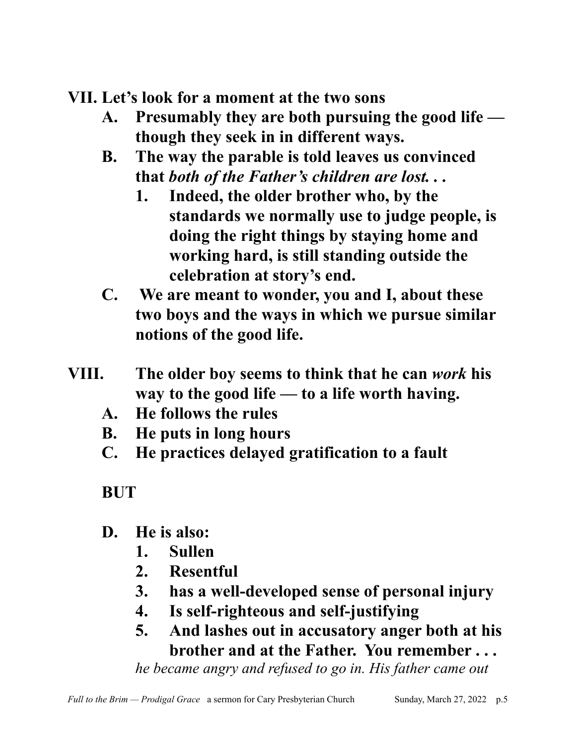**VII. Let's look for a moment at the two sons**

- **A. Presumably they are both pursuing the good life though they seek in in different ways.**
- **B. The way the parable is told leaves us convinced that** *both of the Father's children are lost. . .* 
	- **1. Indeed, the older brother who, by the standards we normally use to judge people, is doing the right things by staying home and working hard, is still standing outside the celebration at story's end.**
- **C. We are meant to wonder, you and I, about these two boys and the ways in which we pursue similar notions of the good life.**
- **VIII. The older boy seems to think that he can** *work* **his way to the good life — to a life worth having.**
	- **A. He follows the rules**
	- **B. He puts in long hours**
	- **C. He practices delayed gratification to a fault**

**BUT**

- **D. He is also:**
	- **1. Sullen**
	- **2. Resentful**
	- **3. has a well-developed sense of personal injury**
	- **4. Is self-righteous and self-justifying**
	- **5. And lashes out in accusatory anger both at his brother and at the Father. You remember . . .**

*he became angry and refused to go in. His father came out*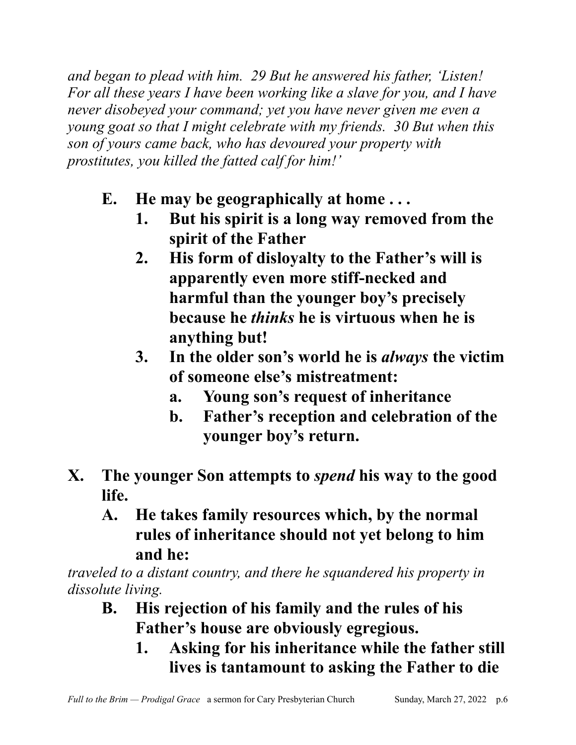*and began to plead with him. 29 But he answered his father, 'Listen! For all these years I have been working like a slave for you, and I have never disobeyed your command; yet you have never given me even a young goat so that I might celebrate with my friends. 30 But when this son of yours came back, who has devoured your property with prostitutes, you killed the fatted calf for him!'*

- **E. He may be geographically at home . . .**
	- **1. But his spirit is a long way removed from the spirit of the Father**
	- **2. His form of disloyalty to the Father's will is apparently even more stiff-necked and harmful than the younger boy's precisely because he** *thinks* **he is virtuous when he is anything but!**
	- **3. In the older son's world he is** *always* **the victim of someone else's mistreatment:**
		- **a. Young son's request of inheritance**
		- **b. Father's reception and celebration of the younger boy's return.**
- **X. The younger Son attempts to** *spend* **his way to the good life.**
	- **A. He takes family resources which, by the normal rules of inheritance should not yet belong to him and he:**

*traveled to a distant country, and there he squandered his property in dissolute living.*

- **B. His rejection of his family and the rules of his Father's house are obviously egregious.**
	- **1. Asking for his inheritance while the father still lives is tantamount to asking the Father to die**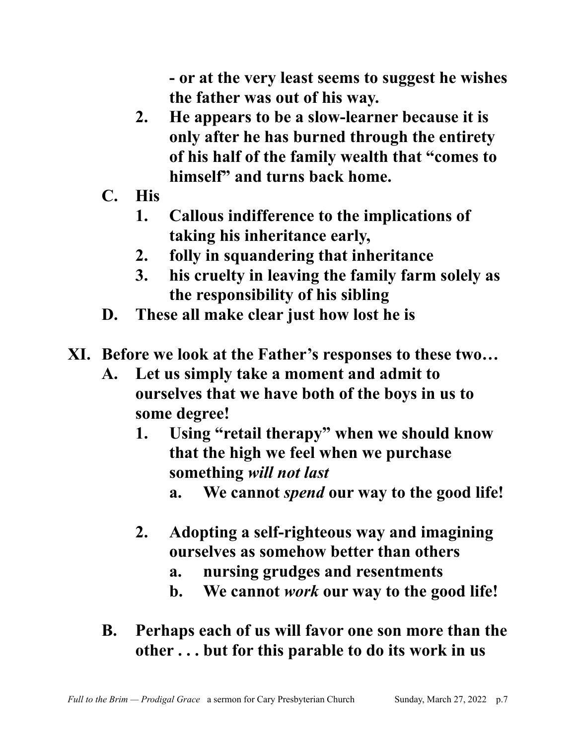**- or at the very least seems to suggest he wishes the father was out of his way.**

- **2. He appears to be a slow-learner because it is only after he has burned through the entirety of his half of the family wealth that "comes to himself" and turns back home.**
- **C. His**
	- **1. Callous indifference to the implications of taking his inheritance early,**
	- **2. folly in squandering that inheritance**
	- **3. his cruelty in leaving the family farm solely as the responsibility of his sibling**
- **D. These all make clear just how lost he is**
- **XI. Before we look at the Father's responses to these two…**
	- **A. Let us simply take a moment and admit to ourselves that we have both of the boys in us to some degree!**
		- **1. Using "retail therapy" when we should know that the high we feel when we purchase something** *will not last*
			- **a. We cannot** *spend* **our way to the good life!**
		- **2. Adopting a self-righteous way and imagining ourselves as somehow better than others**
			- **a. nursing grudges and resentments**
			- **b. We cannot** *work* **our way to the good life!**
	- **B. Perhaps each of us will favor one son more than the other . . . but for this parable to do its work in us**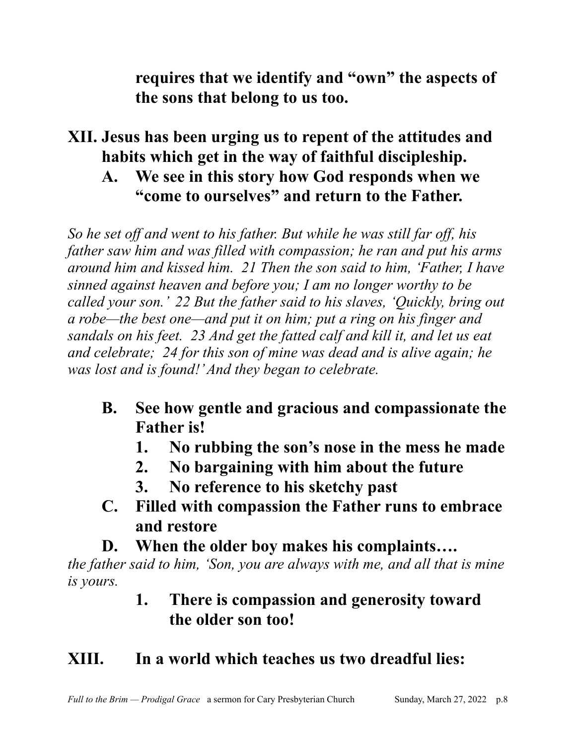**requires that we identify and "own" the aspects of the sons that belong to us too.**

#### **XII. Jesus has been urging us to repent of the attitudes and habits which get in the way of faithful discipleship. A. We see in this story how God responds when we**

# **"come to ourselves" and return to the Father.**

*So he set off and went to his father. But while he was still far off, his father saw him and was filled with compassion; he ran and put his arms around him and kissed him. 21 Then the son said to him, 'Father, I have sinned against heaven and before you; I am no longer worthy to be called your son.' 22 But the father said to his slaves, 'Quickly, bring out a robe—the best one—and put it on him; put a ring on his finger and sandals on his feet. 23 And get the fatted calf and kill it, and let us eat and celebrate; 24 for this son of mine was dead and is alive again; he was lost and is found!' And they began to celebrate.*

- **B. See how gentle and gracious and compassionate the Father is!**
	- **1. No rubbing the son's nose in the mess he made**
	- **2. No bargaining with him about the future**
	- **3. No reference to his sketchy past**
- **C. Filled with compassion the Father runs to embrace and restore**
- **D. When the older boy makes his complaints….**

*the father said to him, 'Son, you are always with me, and all that is mine is yours.*

## **1. There is compassion and generosity toward the older son too!**

## **XIII. In a world which teaches us two dreadful lies:**